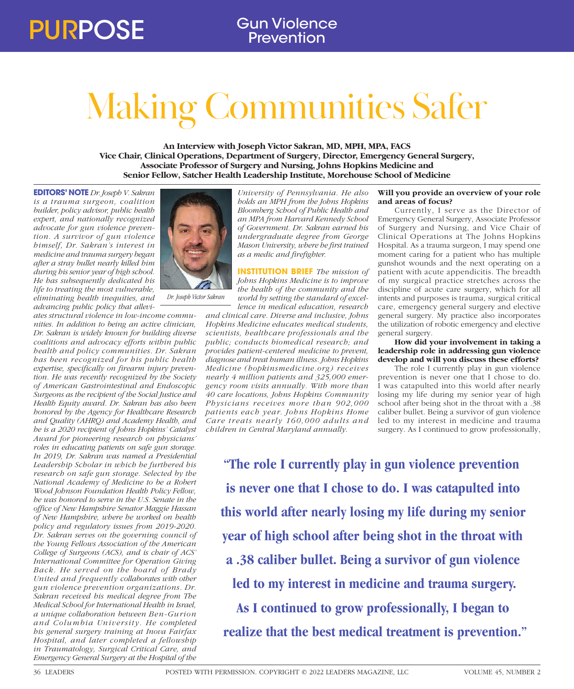# Making Communities Safer

**An Interview with Joseph Victor Sakran, MD, MPH, MPA, FACS Vice Chair, Clinical Operations, Department of Surgery, Director, Emergency General Surgery, Associate Professor of Surgery and Nursing, Johns Hopkins Medicine and Senior Fellow, Satcher Health Leadership Institute, Morehouse School of Medicine**

**EDITORS' NOTE** *Dr. Joseph V. Sakran is a trauma surgeon, coalition builder, policy advisor, public health expert, and nationally recognized advocate for gun violence prevention. A survivor of gun violence himself, Dr. Sakran's interest in medicine and trauma surgery began after a stray bullet nearly killed him during his senior year of high school. He has subsequently dedicated his life to treating the most vulnerable, eliminating health inequities, and advancing public policy that allevi-*

*ates structural violence in low-income communities. In addition to being an active clinician, Dr. Sakran is widely known for building diverse coalitions and advocacy efforts within public health and policy communities. Dr. Sakran has been recognized for his public health expertise, specifically on firearm injury prevention. He was recently recognized by the Society of American Gastrointestinal and Endoscopic Surgeons as the recipient of the Social Justice and Health Equity award. Dr. Sakran has also been honored by the Agency for Healthcare Research and Quality (AHRQ) and Academy Health, and he is a 2020 recipient of Johns Hopkins' Catalyst Award for pioneering research on physicians' roles in educating patients on safe gun storage. In 2019, Dr. Sakran was named a Presidential Leadership Scholar in which he furthered his research on safe gun storage. Selected by the National Academy of Medicine to be a Robert Wood Johnson Foundation Health Policy Fellow, he was honored to serve in the U.S. Senate in the office of New Hampshire Senator Maggie Hassan of New Hampshire, where he worked on health policy and regulatory issues from 2019-2020. Dr. Sakran serves on the governing council of the Young Fellows Association of the American College of Surgeons (ACS), and is chair of ACS' International Committee for Operation Giving Back. He served on the board of Brady United and frequently collaborates with other gun violence prevention organizations. Dr. Sakran received his medical degree from The Medical School for International Health in Israel, a unique collaboration between Ben-Gurion and Columbia University. He completed his general surgery training at Inova Fairfax Hospital, and later completed a fellowship in Traumatology, Surgical Critical Care, and Emergency General Surgery at the Hospital of the* 



*Dr. Joseph Victor Sakran*

*University of Pennsylvania. He also holds an MPH from the Johns Hopkins Bloomberg School of Public Health and an MPA from Harvard Kennedy School of Government. Dr. Sakran earned his undergraduate degree from George Mason University, where he first trained as a medic and firefighter.* 

# **INSTITUTION BRIEF** *The mission of Johns Hopkins Medicine is to improve the health of the community and the*

*world by setting the standard of excellence in medical education, research* 

*and clinical care. Diverse and inclusive, Johns Hopkins Medicine educates medical students, scientists, healthcare professionals and the public; conducts biomedical research; and provides patient-centered medicine to prevent, diagnose and treat human illness. Johns Hopkins Medicine (hopkinsmedicine.org) receives nearly 4 million patients and 325,000 emergency room visits annually. With more than 40 care locations, Johns Hopkins Community Physicians receives more than 902,000 patients each year. Johns Hopkins Home Care treats nearly 160,000 adults and children in Central Maryland annually.*

# **Will you provide an overview of your role and areas of focus?**

Currently, I serve as the Director of Emergency General Surgery, Associate Professor of Surgery and Nursing, and Vice Chair of Clinical Operations at The Johns Hopkins Hospital. As a trauma surgeon, I may spend one moment caring for a patient who has multiple gunshot wounds and the next operating on a patient with acute appendicitis. The breadth of my surgical practice stretches across the discipline of acute care surgery, which for all intents and purposes is trauma, surgical critical care, emergency general surgery and elective general surgery. My practice also incorporates the utilization of robotic emergency and elective general surgery.

## **How did your involvement in taking a leadership role in addressing gun violence develop and will you discuss these efforts?**

The role I currently play in gun violence prevention is never one that I chose to do. I was catapulted into this world after nearly losing my life during my senior year of high school after being shot in the throat with a .38 caliber bullet. Being a survivor of gun violence led to my interest in medicine and trauma surgery. As I continued to grow professionally,

**"The role I currently play in gun violence prevention is never one that I chose to do. I was catapulted into this world after nearly losing my life during my senior year of high school after being shot in the throat with a .38 caliber bullet. Being a survivor of gun violence led to my interest in medicine and trauma surgery. As I continued to grow professionally, I began to realize that the best medical treatment is prevention."**